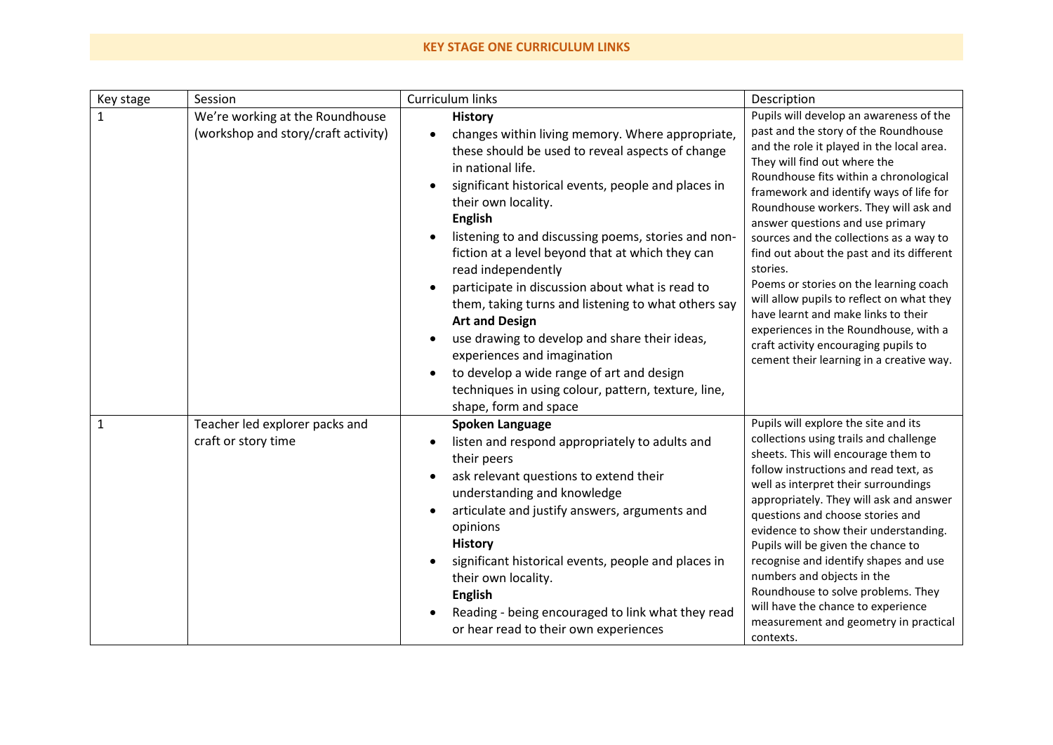## **KEY STAGE ONE CURRICULUM LINKS**

| Key stage | Session                                                                | Curriculum links                                                                                                                                                                                                                                                                                                                                                                                                                                                                                                                                                                                                                                                                                                             | Description                                                                                                                                                                                                                                                                                                                                                                                                                                                                                                                                                                                                                                                                                   |
|-----------|------------------------------------------------------------------------|------------------------------------------------------------------------------------------------------------------------------------------------------------------------------------------------------------------------------------------------------------------------------------------------------------------------------------------------------------------------------------------------------------------------------------------------------------------------------------------------------------------------------------------------------------------------------------------------------------------------------------------------------------------------------------------------------------------------------|-----------------------------------------------------------------------------------------------------------------------------------------------------------------------------------------------------------------------------------------------------------------------------------------------------------------------------------------------------------------------------------------------------------------------------------------------------------------------------------------------------------------------------------------------------------------------------------------------------------------------------------------------------------------------------------------------|
| 1         | We're working at the Roundhouse<br>(workshop and story/craft activity) | <b>History</b><br>changes within living memory. Where appropriate,<br>these should be used to reveal aspects of change<br>in national life.<br>significant historical events, people and places in<br>their own locality.<br><b>English</b><br>listening to and discussing poems, stories and non-<br>fiction at a level beyond that at which they can<br>read independently<br>participate in discussion about what is read to<br>them, taking turns and listening to what others say<br><b>Art and Design</b><br>use drawing to develop and share their ideas,<br>experiences and imagination<br>to develop a wide range of art and design<br>techniques in using colour, pattern, texture, line,<br>shape, form and space | Pupils will develop an awareness of the<br>past and the story of the Roundhouse<br>and the role it played in the local area.<br>They will find out where the<br>Roundhouse fits within a chronological<br>framework and identify ways of life for<br>Roundhouse workers. They will ask and<br>answer questions and use primary<br>sources and the collections as a way to<br>find out about the past and its different<br>stories.<br>Poems or stories on the learning coach<br>will allow pupils to reflect on what they<br>have learnt and make links to their<br>experiences in the Roundhouse, with a<br>craft activity encouraging pupils to<br>cement their learning in a creative way. |
| 1         | Teacher led explorer packs and<br>craft or story time                  | <b>Spoken Language</b><br>listen and respond appropriately to adults and<br>their peers<br>ask relevant questions to extend their<br>understanding and knowledge<br>articulate and justify answers, arguments and<br>opinions<br><b>History</b><br>significant historical events, people and places in<br>their own locality.<br><b>English</b><br>Reading - being encouraged to link what they read<br>or hear read to their own experiences                                                                                                                                                                                                                                                                                | Pupils will explore the site and its<br>collections using trails and challenge<br>sheets. This will encourage them to<br>follow instructions and read text, as<br>well as interpret their surroundings<br>appropriately. They will ask and answer<br>questions and choose stories and<br>evidence to show their understanding.<br>Pupils will be given the chance to<br>recognise and identify shapes and use<br>numbers and objects in the<br>Roundhouse to solve problems. They<br>will have the chance to experience<br>measurement and geometry in practical<br>contexts.                                                                                                                 |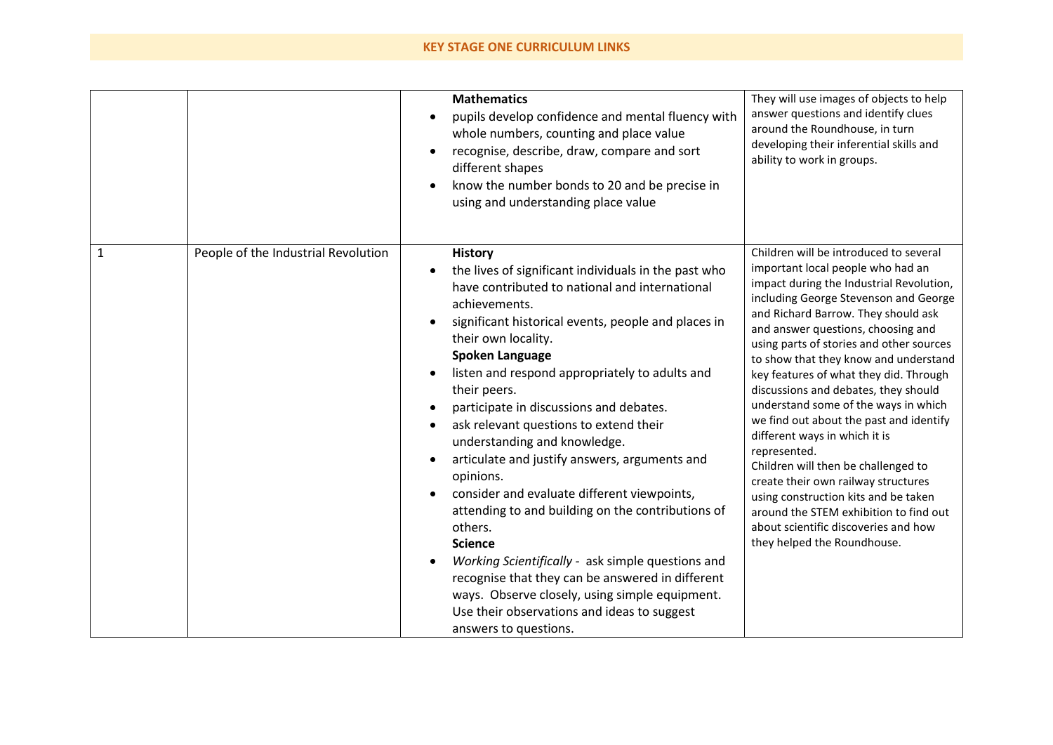## **KEY STAGE ONE CURRICULUM LINKS**

|              |                                     | <b>Mathematics</b><br>pupils develop confidence and mental fluency with<br>whole numbers, counting and place value<br>recognise, describe, draw, compare and sort<br>$\bullet$<br>different shapes<br>know the number bonds to 20 and be precise in<br>using and understanding place value                                                                                                                                                                                                                                                                                                                                                                                                                                                                                                                                                                                                           | They will use images of objects to help<br>answer questions and identify clues<br>around the Roundhouse, in turn<br>developing their inferential skills and<br>ability to work in groups.                                                                                                                                                                                                                                                                                                                                                                                                                                                                                                                                                                                                       |
|--------------|-------------------------------------|------------------------------------------------------------------------------------------------------------------------------------------------------------------------------------------------------------------------------------------------------------------------------------------------------------------------------------------------------------------------------------------------------------------------------------------------------------------------------------------------------------------------------------------------------------------------------------------------------------------------------------------------------------------------------------------------------------------------------------------------------------------------------------------------------------------------------------------------------------------------------------------------------|-------------------------------------------------------------------------------------------------------------------------------------------------------------------------------------------------------------------------------------------------------------------------------------------------------------------------------------------------------------------------------------------------------------------------------------------------------------------------------------------------------------------------------------------------------------------------------------------------------------------------------------------------------------------------------------------------------------------------------------------------------------------------------------------------|
| $\mathbf{1}$ | People of the Industrial Revolution | <b>History</b><br>the lives of significant individuals in the past who<br>have contributed to national and international<br>achievements.<br>significant historical events, people and places in<br>their own locality.<br><b>Spoken Language</b><br>listen and respond appropriately to adults and<br>their peers.<br>participate in discussions and debates.<br>ask relevant questions to extend their<br>understanding and knowledge.<br>articulate and justify answers, arguments and<br>$\bullet$<br>opinions.<br>consider and evaluate different viewpoints,<br>attending to and building on the contributions of<br>others.<br><b>Science</b><br>Working Scientifically - ask simple questions and<br>$\bullet$<br>recognise that they can be answered in different<br>ways. Observe closely, using simple equipment.<br>Use their observations and ideas to suggest<br>answers to questions. | Children will be introduced to several<br>important local people who had an<br>impact during the Industrial Revolution,<br>including George Stevenson and George<br>and Richard Barrow. They should ask<br>and answer questions, choosing and<br>using parts of stories and other sources<br>to show that they know and understand<br>key features of what they did. Through<br>discussions and debates, they should<br>understand some of the ways in which<br>we find out about the past and identify<br>different ways in which it is<br>represented.<br>Children will then be challenged to<br>create their own railway structures<br>using construction kits and be taken<br>around the STEM exhibition to find out<br>about scientific discoveries and how<br>they helped the Roundhouse. |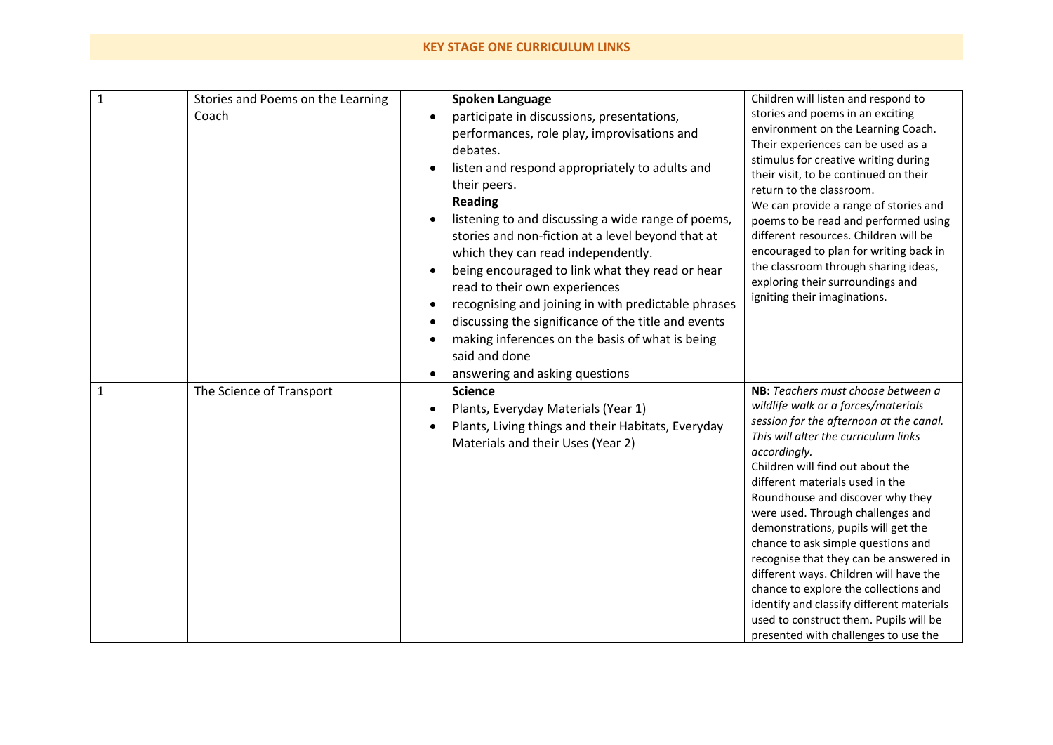## **KEY STAGE ONE CURRICULUM LINKS**

| $\mathbf{1}$ | Stories and Poems on the Learning | <b>Spoken Language</b>                              | Children will listen and respond to                                       |
|--------------|-----------------------------------|-----------------------------------------------------|---------------------------------------------------------------------------|
|              | Coach                             | participate in discussions, presentations,          | stories and poems in an exciting                                          |
|              |                                   | performances, role play, improvisations and         | environment on the Learning Coach.                                        |
|              |                                   | debates.                                            | Their experiences can be used as a                                        |
|              |                                   | listen and respond appropriately to adults and      | stimulus for creative writing during                                      |
|              |                                   | their peers.                                        | their visit, to be continued on their                                     |
|              |                                   | <b>Reading</b>                                      | return to the classroom.<br>We can provide a range of stories and         |
|              |                                   | listening to and discussing a wide range of poems,  | poems to be read and performed using                                      |
|              |                                   | stories and non-fiction at a level beyond that at   | different resources. Children will be                                     |
|              |                                   | which they can read independently.                  | encouraged to plan for writing back in                                    |
|              |                                   | being encouraged to link what they read or hear     | the classroom through sharing ideas,                                      |
|              |                                   | read to their own experiences                       | exploring their surroundings and                                          |
|              |                                   | recognising and joining in with predictable phrases | igniting their imaginations.                                              |
|              |                                   | discussing the significance of the title and events |                                                                           |
|              |                                   | making inferences on the basis of what is being     |                                                                           |
|              |                                   | said and done                                       |                                                                           |
|              |                                   | answering and asking questions                      |                                                                           |
| $\mathbf{1}$ | The Science of Transport          | <b>Science</b>                                      | NB: Teachers must choose between a                                        |
|              |                                   | Plants, Everyday Materials (Year 1)                 | wildlife walk or a forces/materials                                       |
|              |                                   | Plants, Living things and their Habitats, Everyday  | session for the afternoon at the canal.                                   |
|              |                                   | Materials and their Uses (Year 2)                   | This will alter the curriculum links                                      |
|              |                                   |                                                     | accordingly.                                                              |
|              |                                   |                                                     | Children will find out about the                                          |
|              |                                   |                                                     | different materials used in the                                           |
|              |                                   |                                                     | Roundhouse and discover why they                                          |
|              |                                   |                                                     | were used. Through challenges and                                         |
|              |                                   |                                                     | demonstrations, pupils will get the<br>chance to ask simple questions and |
|              |                                   |                                                     | recognise that they can be answered in                                    |
|              |                                   |                                                     | different ways. Children will have the                                    |
|              |                                   |                                                     | chance to explore the collections and                                     |
|              |                                   |                                                     | identify and classify different materials                                 |
|              |                                   |                                                     | used to construct them. Pupils will be                                    |
|              |                                   |                                                     | presented with challenges to use the                                      |